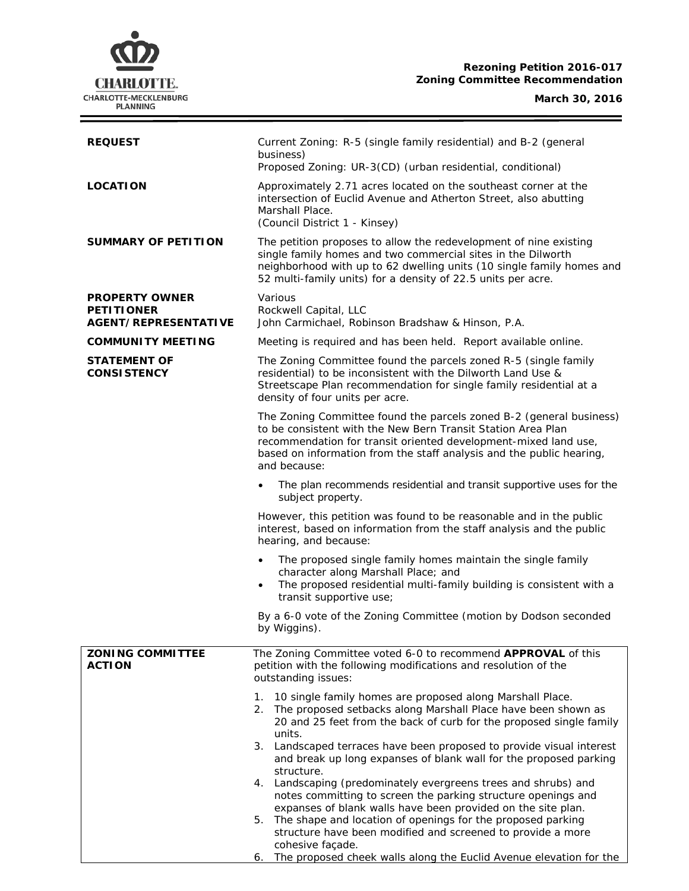# **CHARLOTTE.** CHARLOTTE-MECKLENBURG<br>PLANNING

# **Rezoning Petition 2016-017 Zoning Committee Recommendation**

## **March 30, 2016**

 $\equiv$ 

| <b>REQUEST</b>                                                            | Current Zoning: R-5 (single family residential) and B-2 (general<br>business)<br>Proposed Zoning: UR-3(CD) (urban residential, conditional)                                                                                                                                                    |  |
|---------------------------------------------------------------------------|------------------------------------------------------------------------------------------------------------------------------------------------------------------------------------------------------------------------------------------------------------------------------------------------|--|
| <b>LOCATION</b>                                                           | Approximately 2.71 acres located on the southeast corner at the<br>intersection of Euclid Avenue and Atherton Street, also abutting<br>Marshall Place.<br>(Council District 1 - Kinsey)                                                                                                        |  |
| <b>SUMMARY OF PETITION</b>                                                | The petition proposes to allow the redevelopment of nine existing<br>single family homes and two commercial sites in the Dilworth<br>neighborhood with up to 62 dwelling units (10 single family homes and<br>52 multi-family units) for a density of 22.5 units per acre.                     |  |
| <b>PROPERTY OWNER</b><br><b>PETITIONER</b><br><b>AGENT/REPRESENTATIVE</b> | Various<br>Rockwell Capital, LLC<br>John Carmichael, Robinson Bradshaw & Hinson, P.A.                                                                                                                                                                                                          |  |
| <b>COMMUNITY MEETING</b>                                                  | Meeting is required and has been held. Report available online.                                                                                                                                                                                                                                |  |
| <b>STATEMENT OF</b><br><b>CONSISTENCY</b>                                 | The Zoning Committee found the parcels zoned R-5 (single family<br>residential) to be inconsistent with the Dilworth Land Use &<br>Streetscape Plan recommendation for single family residential at a<br>density of four units per acre.                                                       |  |
|                                                                           | The Zoning Committee found the parcels zoned B-2 (general business)<br>to be consistent with the New Bern Transit Station Area Plan<br>recommendation for transit oriented development-mixed land use,<br>based on information from the staff analysis and the public hearing,<br>and because: |  |
|                                                                           | The plan recommends residential and transit supportive uses for the<br>$\bullet$<br>subject property.                                                                                                                                                                                          |  |
|                                                                           | However, this petition was found to be reasonable and in the public<br>interest, based on information from the staff analysis and the public<br>hearing, and because:                                                                                                                          |  |
|                                                                           | The proposed single family homes maintain the single family<br>$\bullet$<br>character along Marshall Place; and<br>The proposed residential multi-family building is consistent with a<br>٠<br>transit supportive use;                                                                         |  |
|                                                                           | By a 6-0 vote of the Zoning Committee (motion by Dodson seconded<br>by Wiggins).                                                                                                                                                                                                               |  |
| <b>ZONING COMMITTEE</b><br><b>ACTION</b>                                  | The Zoning Committee voted 6-0 to recommend APPROVAL of this<br>petition with the following modifications and resolution of the<br>outstanding issues:                                                                                                                                         |  |
|                                                                           | 10 single family homes are proposed along Marshall Place.<br>1.<br>2.<br>The proposed setbacks along Marshall Place have been shown as<br>20 and 25 feet from the back of curb for the proposed single family<br>units.                                                                        |  |
|                                                                           | 3. Landscaped terraces have been proposed to provide visual interest<br>and break up long expanses of blank wall for the proposed parking                                                                                                                                                      |  |
|                                                                           | structure.<br>Landscaping (predominately evergreens trees and shrubs) and<br>4.<br>notes committing to screen the parking structure openings and<br>expanses of blank walls have been provided on the site plan.                                                                               |  |
|                                                                           | The shape and location of openings for the proposed parking<br>5.<br>structure have been modified and screened to provide a more<br>cohesive façade.                                                                                                                                           |  |
|                                                                           | The proposed cheek walls along the Euclid Avenue elevation for the<br>6.                                                                                                                                                                                                                       |  |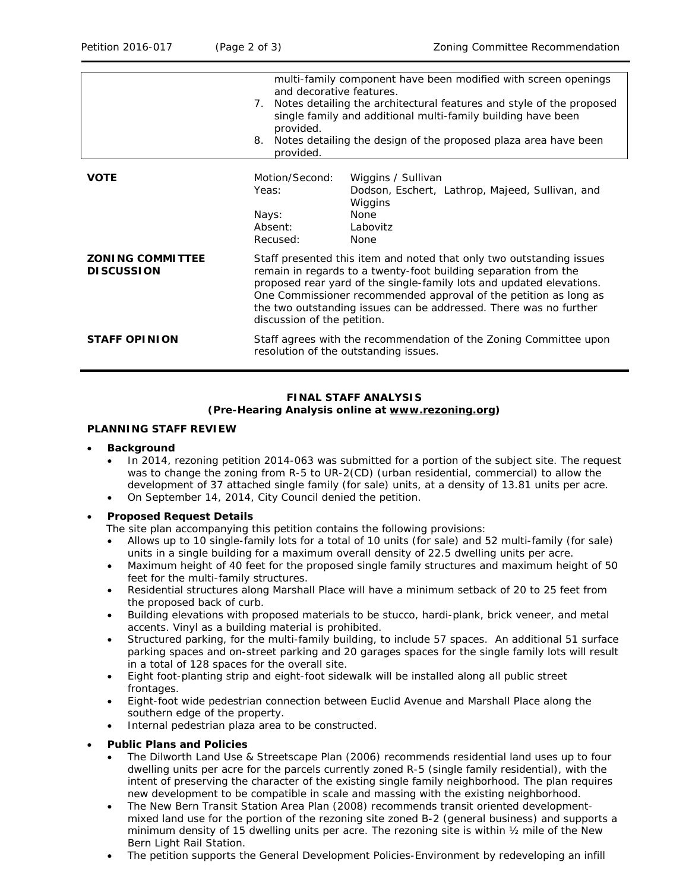|                                              | and decorative features.<br>7.<br>provided.<br>8.<br>provided.                                                                                                                                                                                                                                                                                                                          | multi-family component have been modified with screen openings<br>Notes detailing the architectural features and style of the proposed<br>single family and additional multi-family building have been<br>Notes detailing the design of the proposed plaza area have been |
|----------------------------------------------|-----------------------------------------------------------------------------------------------------------------------------------------------------------------------------------------------------------------------------------------------------------------------------------------------------------------------------------------------------------------------------------------|---------------------------------------------------------------------------------------------------------------------------------------------------------------------------------------------------------------------------------------------------------------------------|
| <b>VOTE</b>                                  | Motion/Second:<br>Yeas:<br>Nays:<br>Absent:<br>Recused:                                                                                                                                                                                                                                                                                                                                 | Wiggins / Sullivan<br>Dodson, Eschert, Lathrop, Majeed, Sullivan, and<br>Wiggins<br><b>None</b><br>Labovitz<br><b>None</b>                                                                                                                                                |
| <b>ZONING COMMITTEE</b><br><b>DISCUSSION</b> | Staff presented this item and noted that only two outstanding issues<br>remain in regards to a twenty-foot building separation from the<br>proposed rear yard of the single-family lots and updated elevations.<br>One Commissioner recommended approval of the petition as long as<br>the two outstanding issues can be addressed. There was no further<br>discussion of the petition. |                                                                                                                                                                                                                                                                           |
| <b>STAFF OPINION</b>                         | Staff agrees with the recommendation of the Zoning Committee upon<br>resolution of the outstanding issues.                                                                                                                                                                                                                                                                              |                                                                                                                                                                                                                                                                           |

#### **FINAL STAFF ANALYSIS (Pre-Hearing Analysis online at [www.rezoning.org\)](http://www.rezoning.org/)**

## **PLANNING STAFF REVIEW**

#### • **Background**

- In 2014, rezoning petition 2014-063 was submitted for a portion of the subject site. The request was to change the zoning from R-5 to UR-2(CD) (urban residential, commercial) to allow the development of 37 attached single family (for sale) units, at a density of 13.81 units per acre.
- On September 14, 2014, City Council denied the petition.

#### • **Proposed Request Details**

The site plan accompanying this petition contains the following provisions:

- Allows up to 10 single-family lots for a total of 10 units (for sale) and 52 multi-family (for sale) units in a single building for a maximum overall density of 22.5 dwelling units per acre.
- Maximum height of 40 feet for the proposed single family structures and maximum height of 50 feet for the multi-family structures.
- Residential structures along Marshall Place will have a minimum setback of 20 to 25 feet from the proposed back of curb.
- Building elevations with proposed materials to be stucco, hardi-plank, brick veneer, and metal accents. Vinyl as a building material is prohibited.
- Structured parking, for the multi-family building, to include 57 spaces. An additional 51 surface parking spaces and on-street parking and 20 garages spaces for the single family lots will result in a total of 128 spaces for the overall site.
- Eight foot-planting strip and eight-foot sidewalk will be installed along all public street frontages.
- Eight-foot wide pedestrian connection between Euclid Avenue and Marshall Place along the southern edge of the property.
- Internal pedestrian plaza area to be constructed.

#### • **Public Plans and Policies**

- The *Dilworth Land Use & Streetscape Plan* (2006) recommends residential land uses up to four dwelling units per acre for the parcels currently zoned R-5 (single family residential), with the intent of preserving the character of the existing single family neighborhood. The plan requires new development to be compatible in scale and massing with the existing neighborhood.
- The *New Bern Transit Station Area Plan* (2008) recommends transit oriented developmentmixed land use for the portion of the rezoning site zoned B-2 (general business) and supports a minimum density of 15 dwelling units per acre. The rezoning site is within  $\frac{1}{2}$  mile of the New Bern Light Rail Station.
- The petition supports the *General Development Policies-Environment* by redeveloping an infill